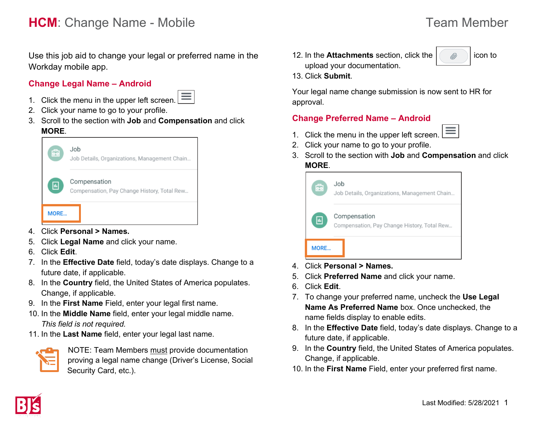# **HCM**: Change Name - Mobile Team Member

Use this job aid to change your legal or preferred name in the Workday mobile app.

### **Change Legal Name – Android**

- $\equiv$
- 1. Click the menu in the upper left screen.
- 2. Click your name to go to your profile.
- 3. Scroll to the section with **Job** and **Compensation** and click **MORE**.



- 4. Click **Personal > Names.**
- 5. Click **Legal Name** and click your name.
- 6. Click **Edit**.
- 7. In the **Effective Date** field, today's date displays. Change to a future date, if applicable.
- 8. In the **Country** field, the United States of America populates. Change, if applicable.
- 9. In the **First Name** Field, enter your legal first name.
- 10. In the **Middle Name** field, enter your legal middle name. *This field is not required.*
- 11. In the **Last Name** field, enter your legal last name.



NOTE: Team Members must provide documentation proving a legal name change (Driver's License, Social Security Card, etc.).

12. In the **Attachments** section, click the  $\ll$  | icon to upload your documentation.



13. Click **Submit**.

Your legal name change submission is now sent to HR for approval.

### **Change Preferred Name – Android**



- 2. Click your name to go to your profile.
- 3. Scroll to the section with **Job** and **Compensation** and click **MORE**.



- 4. Click **Personal > Names.**
- 5. Click **Preferred Name** and click your name.
- 6. Click **Edit**.
- 7. To change your preferred name, uncheck the **Use Legal Name As Preferred Name** box. Once unchecked, the name fields display to enable edits.
- 8. In the **Effective Date** field, today's date displays. Change to a future date, if applicable.
- 9. In the **Country** field, the United States of America populates. Change, if applicable.
- 10. In the **First Name** Field, enter your preferred first name.

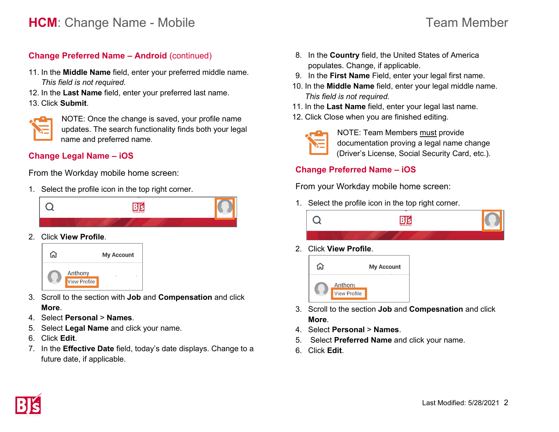### **Change Preferred Name – Android** (continued)

- 11. In the **Middle Name** field, enter your preferred middle name. *This field is not required.*
- 12. In the **Last Name** field, enter your preferred last name.
- 13. Click **Submit**.



NOTE: Once the change is saved, your profile name updates. The search functionality finds both your legal name and preferred name.

#### **Change Legal Name – iOS**

From the Workday mobile home screen:

1. Select the profile icon in the top right corner.



2. Click **View Profile**.



- 3. Scroll to the section with **Job** and **Compensation** and click **More**.
- 4. Select **Personal** > **Names**.
- 5. Select **Legal Name** and click your name.
- 6. Click **Edit**.
- 7. In the **Effective Date** field, today's date displays. Change to a future date, if applicable.
- 8. In the **Country** field, the United States of America populates. Change, if applicable.
- 9. In the **First Name** Field, enter your legal first name.
- 10. In the **Middle Name** field, enter your legal middle name. *This field is not required.*
- 11. In the **Last Name** field, enter your legal last name.
- 12. Click Close when you are finished editing.

| and the state of the state of the state of the state of the state of the state of the state of the state of th |  |
|----------------------------------------------------------------------------------------------------------------|--|
|                                                                                                                |  |
|                                                                                                                |  |

NOTE: Team Members must provide documentation proving a legal name change (Driver's License, Social Security Card, etc.).

### **Change Preferred Name – iOS**

From your Workday mobile home screen:

1. Select the profile icon in the top right corner.



2. Click **View Profile**.



- 3. Scroll to the section **Job** and **Compesnation** and click **More**.
- 4. Select **Personal** > **Names**.
- 5. Select **Preferred Name** and click your name.
- 6. Click **Edit**.